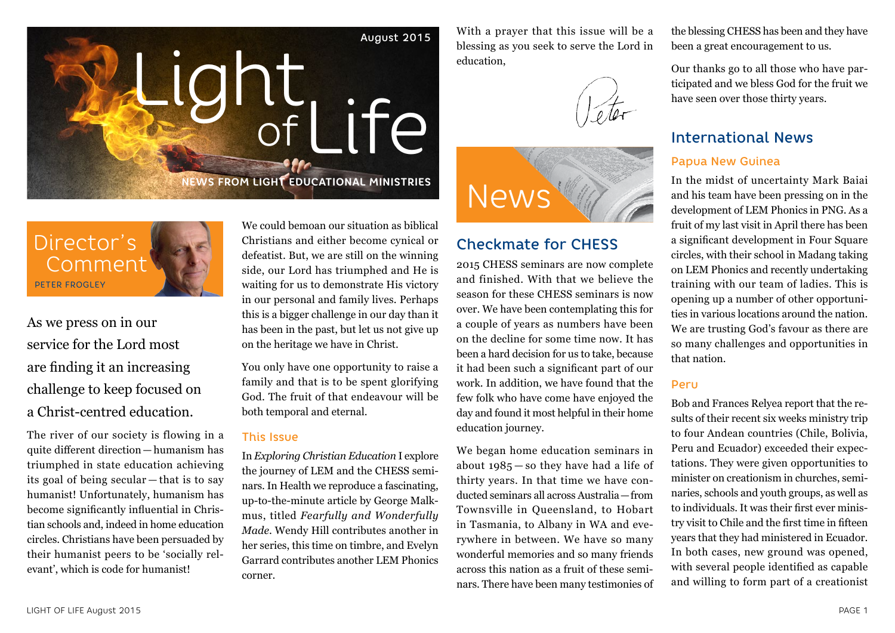

With a prayer that this issue will be a blessing as you seek to serve the Lord in education,





## Checkmate for CHESS

2015 CHESS seminars are now complete and finished. With that we believe the season for these CHESS seminars is now over. We have been contemplating this for a couple of years as numbers have been on the decline for some time now. It has been a hard decision for us to take, because it had been such a significant part of our work. In addition, we have found that the few folk who have come have enjoyed the day and found it most helpful in their home education journey.

We began home education seminars in about 1985 — so they have had a life of thirty years. In that time we have conducted seminars all across Australia—from Townsville in Queensland, to Hobart in Tasmania, to Albany in WA and everywhere in between. We have so many wonderful memories and so many friends across this nation as a fruit of these seminars. There have been many testimonies of

the blessing CHESS has been and they have been a great encouragement to us.

Our thanks go to all those who have participated and we bless God for the fruit we have seen over those thirty years.

## International News

### Papua New Guinea

In the midst of uncertainty Mark Baiai and his team have been pressing on in the development of LEM Phonics in PNG. As a fruit of my last visit in April there has been a significant development in Four Square circles, with their school in Madang taking on LEM Phonics and recently undertaking training with our team of ladies. This is opening up a number of other opportunities in various locations around the nation. We are trusting God's favour as there are so many challenges and opportunities in that nation.

#### Peru

Bob and Frances Relyea report that the results of their recent six weeks ministry trip to four Andean countries (Chile, Bolivia, Peru and Ecuador) exceeded their expectations. They were given opportunities to minister on creationism in churches, seminaries, schools and youth groups, as well as to individuals. It was their first ever ministry visit to Chile and the first time in fifteen years that they had ministered in Ecuador. In both cases, new ground was opened, with several people identified as capable and willing to form part of a creationist

Director's Comment PETER FROGLEY

As we press on in our service for the Lord most are finding it an increasing challenge to keep focused on a Christ-centred education.

The river of our society is flowing in a quite different direction—humanism has triumphed in state education achieving its goal of being secular — that is to say humanist! Unfortunately, humanism has become significantly influential in Christian schools and, indeed in home education circles. Christians have been persuaded by their humanist peers to be 'socially relevant', which is code for humanist!

We could bemoan our situation as biblical Christians and either become cynical or defeatist. But, we are still on the winning side, our Lord has triumphed and He is waiting for us to demonstrate His victory in our personal and family lives. Perhaps this is a bigger challenge in our day than it has been in the past, but let us not give up on the heritage we have in Christ.

You only have one opportunity to raise a family and that is to be spent glorifying God. The fruit of that endeavour will be both temporal and eternal.

### This Issue

In *Exploring Christian Education* I explore the journey of LEM and the CHESS seminars. In Health we reproduce a fascinating, up-to-the-minute article by George Malkmus, titled *Fearfully and Wonderfully Made*. Wendy Hill contributes another in her series, this time on timbre, and Evelyn Garrard contributes another LEM Phonics corner.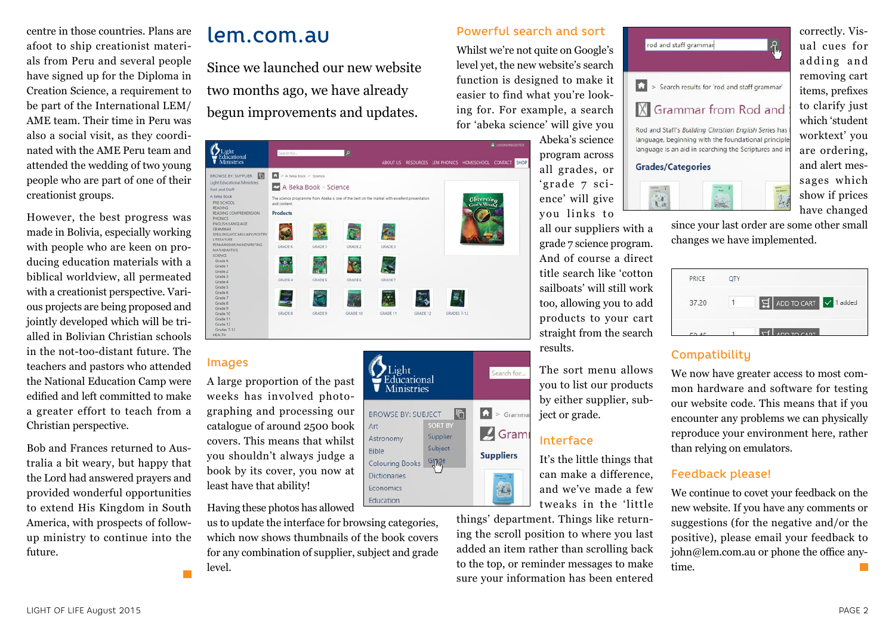centre in those countries. Plans are afoot to ship creationist materials from Peru and several people have signed up for the Diploma in Creation Science, a requirement to be part of the International LEM/ AME team. Their time in Peru was also a social visit, as they coordinated with the AME Peru team and attended the wedding of two young people who are part of one of their creationist groups.

However, the best progress was made in Bolivia, especially working with people who are keen on producing education materials with a biblical worldview, all permeated with a creationist perspective. Various projects are being proposed and jointly developed which will be trialled in Bolivian Christian schools in the not-too-distant future. The teachers and pastors who attended the National Education Camp were edified and left committed to make a greater effort to teach from a Christian perspective.

Bob and Frances returned to Australia a bit weary, but happy that the Lord had answered prayers and provided wonderful opportunities to extend His Kingdom in South America, with prospects of followup ministry to continue into the future.

# lem.com.au

Since we launched our new website two months ago, we have already begun improvements and updates.



Light<br>Educational<br>Ministries

**BROWSE BY: SUBJECT** 

Art

Bible

Astronomy

Economics Education

**Colouring Books** Dictionaries

### Images

A large proportion of the past weeks has involved photographing and processing our catalogue of around 2500 book covers. This means that whilst you shouldn't always judge a book by its cover, you now at least have that ability!

Having these photos has allowed

us to update the interface for browsing categories, which now shows thumbnails of the book covers for any combination of supplier, subject and grade level.

## Powerful search and sort

Whilst we're not quite on Google's level yet, the new website's search function is designed to make it easier to find what you're looking for. For example, a search for 'abeka science' will give you

> Abeka's science program across all grades, or 'grade 7 science' will give you links to

all our suppliers with a grade 7 science program. And of course a direct title search like 'cotton sailboats' will still work too, allowing you to add products to your cart straight from the search results.

The sort menu allows you to list our products by either supplier, subject or grade.

## Interface

Search for.

 $\Omega$  > Gramm

 $\sqrt{G}$  Gram

**Suppliers** 

P. E,

**|** <sup>0</sup>

**SORT BY** 

Supplier

Subject

Ginde

It's the little things that can make a difference, and we've made a few tweaks in the 'little

things' department. Things like returning the scroll position to where you last added an item rather than scrolling back to the top, or reminder messages to make sure your information has been entered



寇

correctly. Visual cues for adding and removing cart items, prefixes to clarify just which 'student worktext' you are ordering, and alert messages which show if prices have changed

since your last order are some other small changes we have implemented.

| PRICE        | <b>OTY</b> |                                            |
|--------------|------------|--------------------------------------------|
| 37.20        |            | $\frac{1}{2}$ ADD TO CART $\sqrt{1}$ added |
| <b>CO AC</b> |            | ADD TO CART                                |

## **Compatibility**

We now have greater access to most common hardware and software for testing our website code. This means that if you encounter any problems we can physically reproduce your environment here, rather than relying on emulators.

### Feedback please!

We continue to covet your feedback on the new website. If you have any comments or suggestions (for the negative and/or the positive), please email your feedback to john@lem.com.au or phone the office anytime.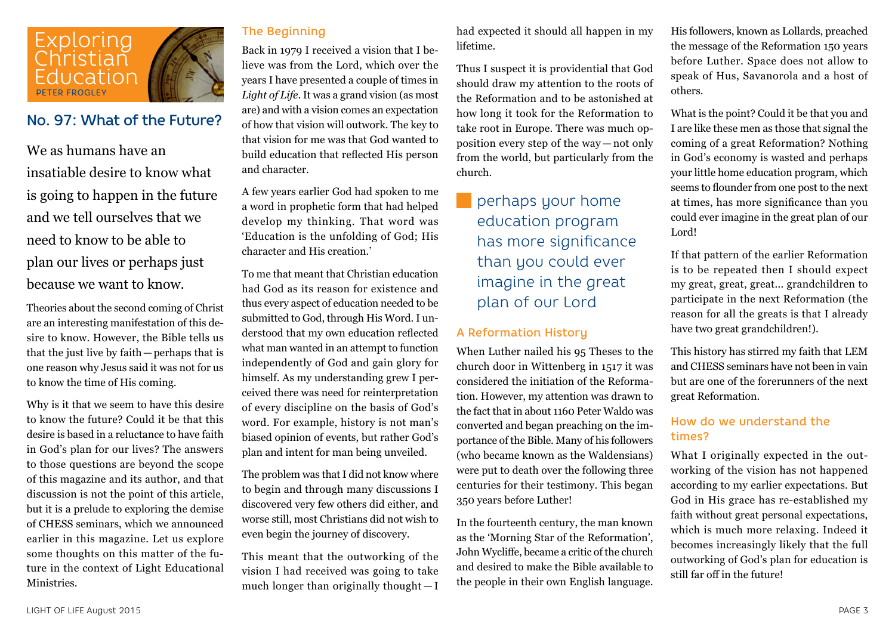

## No. 97: What of the Future?

We as humans have an insatiable desire to know what is going to happen in the future and we tell ourselves that we need to know to be able to plan our lives or perhaps just because we want to know.

Theories about the second coming of Christ are an interesting manifestation of this desire to know. However, the Bible tells us that the just live by faith—perhaps that is one reason why Jesus said it was not for us to know the time of His coming.

Why is it that we seem to have this desire to know the future? Could it be that this desire is based in a reluctance to have faith in God's plan for our lives? The answers to those questions are beyond the scope of this magazine and its author, and that discussion is not the point of this article, but it is a prelude to exploring the demise of CHESS seminars, which we announced earlier in this magazine. Let us explore some thoughts on this matter of the future in the context of Light Educational Ministries.

## The Beginning

Back in 1979 I received a vision that I believe was from the Lord, which over the years I have presented a couple of times in *Light of Life*. It was a grand vision (as most are) and with a vision comes an expectation of how that vision will outwork. The key to that vision for me was that God wanted to build education that reflected His person and character.

A few years earlier God had spoken to me a word in prophetic form that had helped develop my thinking. That word was 'Education is the unfolding of God; His character and His creation.'

To me that meant that Christian education had God as its reason for existence and thus every aspect of education needed to be submitted to God, through His Word. I understood that my own education reflected what man wanted in an attempt to function independently of God and gain glory for himself. As my understanding grew I perceived there was need for reinterpretation of every discipline on the basis of God's word. For example, history is not man's biased opinion of events, but rather God's plan and intent for man being unveiled.

The problem was that I did not know where to begin and through many discussions I discovered very few others did either, and worse still, most Christians did not wish to even begin the journey of discovery.

This meant that the outworking of the vision I had received was going to take much longer than originally thought — I had expected it should all happen in my lifetime.

Thus I suspect it is providential that God should draw my attention to the roots of the Reformation and to be astonished at how long it took for the Reformation to take root in Europe. There was much opposition every step of the way — not only from the world, but particularly from the church.

# perhaps your home education program has more significance than you could ever imagine in the great plan of our Lord

### A Reformation History

When Luther nailed his 95 Theses to the church door in Wittenberg in 1517 it was considered the initiation of the Reformation. However, my attention was drawn to the fact that in about 1160 Peter Waldo was converted and began preaching on the importance of the Bible. Many of his followers (who became known as the Waldensians) were put to death over the following three centuries for their testimony. This began 350 years before Luther!

In the fourteenth century, the man known as the 'Morning Star of the Reformation', John Wycliffe, became a critic of the church and desired to make the Bible available to the people in their own English language.

His followers, known as Lollards, preached the message of the Reformation 150 years before Luther. Space does not allow to speak of Hus, Savanorola and a host of others.

What is the point? Could it be that you and I are like these men as those that signal the coming of a great Reformation? Nothing in God's economy is wasted and perhaps your little home education program, which seems to flounder from one post to the next at times, has more significance than you could ever imagine in the great plan of our Lord!

If that pattern of the earlier Reformation is to be repeated then I should expect my great, great, great... grandchildren to participate in the next Reformation (the reason for all the greats is that I already have two great grandchildren!).

This history has stirred my faith that LEM and CHESS seminars have not been in vain but are one of the forerunners of the next great Reformation.

### How do we understand the times?

What I originally expected in the outworking of the vision has not happened according to my earlier expectations. But God in His grace has re-established my faith without great personal expectations, which is much more relaxing. Indeed it becomes increasingly likely that the full outworking of God's plan for education is still far off in the future!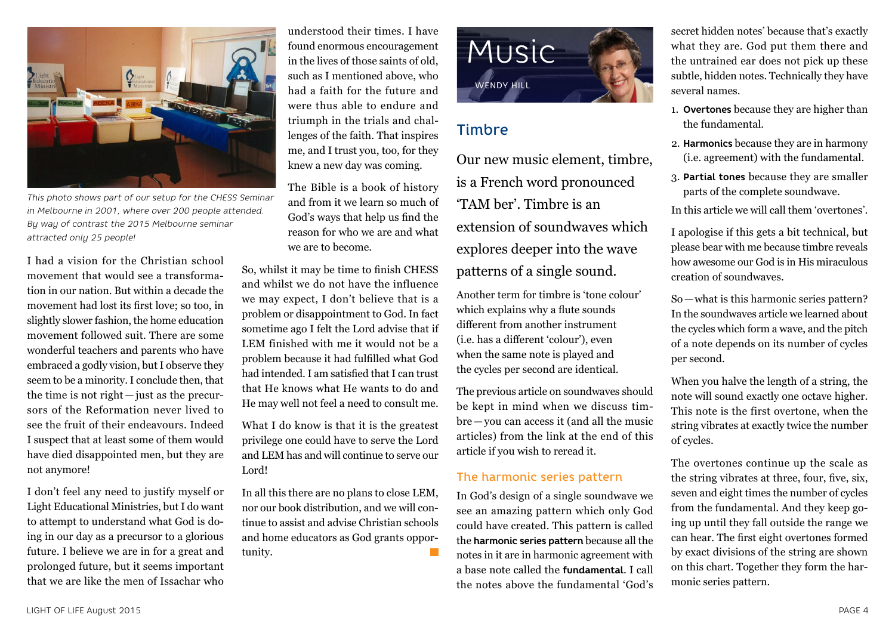

*This photo shows part of our setup for the CHESS Seminar in Melbourne in 2001, where over 200 people attended. By way of contrast the 2015 Melbourne seminar attracted only 25 people!* 

I had a vision for the Christian school movement that would see a transformation in our nation. But within a decade the movement had lost its first love; so too, in slightly slower fashion, the home education movement followed suit. There are some wonderful teachers and parents who have embraced a godly vision, but I observe they seem to be a minority. I conclude then, that the time is not right — just as the precursors of the Reformation never lived to see the fruit of their endeavours. Indeed I suspect that at least some of them would have died disappointed men, but they are not anymore!

I don't feel any need to justify myself or Light Educational Ministries, but I do want to attempt to understand what God is doing in our day as a precursor to a glorious future. I believe we are in for a great and prolonged future, but it seems important that we are like the men of Issachar who

understood their times. I have found enormous encouragement in the lives of those saints of old, such as I mentioned above, who had a faith for the future and were thus able to endure and triumph in the trials and challenges of the faith. That inspires me, and I trust you, too, for they knew a new day was coming.

The Bible is a book of history and from it we learn so much of God's ways that help us find the reason for who we are and what we are to become.

So, whilst it may be time to finish CHESS and whilst we do not have the influence we may expect, I don't believe that is a problem or disappointment to God. In fact sometime ago I felt the Lord advise that if LEM finished with me it would not be a problem because it had fulfilled what God had intended. I am satisfied that I can trust that He knows what He wants to do and He may well not feel a need to consult me.

What I do know is that it is the greatest privilege one could have to serve the Lord and LEM has and will continue to serve our Lord!

In all this there are no plans to close LEM, nor our book distribution, and we will continue to assist and advise Christian schools and home educators as God grants opportunity.



# **Timbre**

Our new music element, timbre, is a French word pronounced 'TAM ber'. Timbre is an extension of soundwaves which explores deeper into the wave patterns of a single sound.

Another term for timbre is 'tone colour' which explains why a flute sounds different from another instrument (i.e. has a different 'colour'), even when the same note is played and the cycles per second are identical.

The previous article on soundwaves should be kept in mind when we discuss timbre—you can access it (and all the music articles) from the link at the end of this article if you wish to reread it.

### The harmonic series pattern

In God's design of a single soundwave we see an amazing pattern which only God could have created. This pattern is called the **harmonic series pattern** because all the notes in it are in harmonic agreement with a base note called the **fundamental**. I call the notes above the fundamental 'God's

secret hidden notes' because that's exactly what they are. God put them there and the untrained ear does not pick up these subtle, hidden notes. Technically they have several names.

- 1. **Overtones** because they are higher than the fundamental.
- 2. **Harmonics** because they are in harmony (i.e. agreement) with the fundamental.
- 3. **Partial tones** because they are smaller parts of the complete soundwave.

In this article we will call them 'overtones'.

I apologise if this gets a bit technical, but please bear with me because timbre reveals how awesome our God is in His miraculous creation of soundwaves.

So—what is this harmonic series pattern? In the soundwaves article we learned about the cycles which form a wave, and the pitch of a note depends on its number of cycles per second.

When you halve the length of a string, the note will sound exactly one octave higher. This note is the first overtone, when the string vibrates at exactly twice the number of cycles.

The overtones continue up the scale as the string vibrates at three, four, five, six, seven and eight times the number of cycles from the fundamental. And they keep going up until they fall outside the range we can hear. The first eight overtones formed by exact divisions of the string are shown on this chart. Together they form the harmonic series pattern.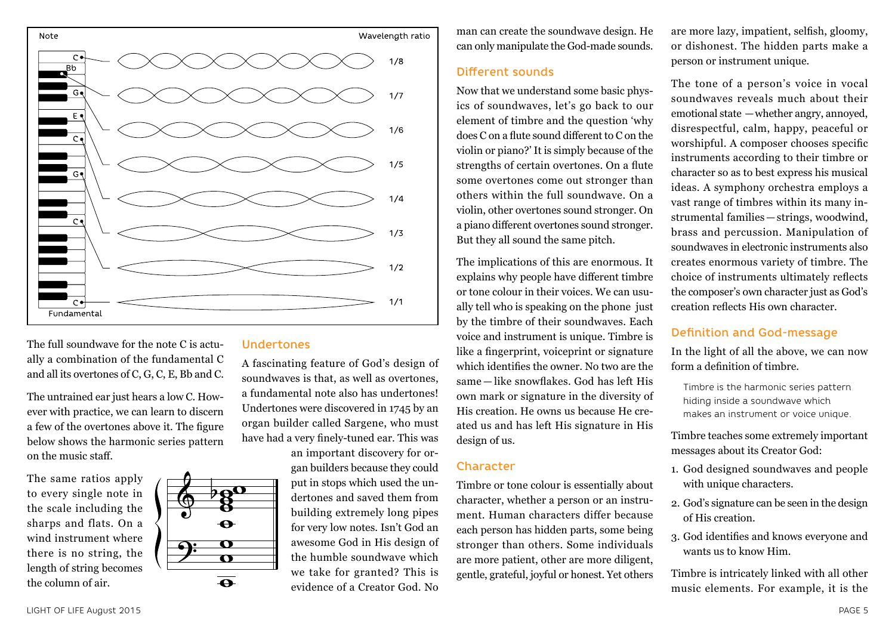

The full soundwave for the note C is actually a combination of the fundamental C and all its overtones of C, G, C, E, Bb and C.

The untrained ear just hears a low C. However with practice, we can learn to discern a few of the overtones above it. The figure below shows the harmonic series pattern on the music staff.

The same ratios apply to every single note in the scale including the sharps and flats. On a wind instrument where there is no string, the length of string becomes the column of air.



#### Undertones

A fascinating feature of God's design of soundwaves is that, as well as overtones, a fundamental note also has undertones! Undertones were discovered in 1745 by an organ builder called Sargene, who must have had a very finely-tuned ear. This was

an important discovery for organ builders because they could put in stops which used the undertones and saved them from building extremely long pipes for very low notes. Isn't God an awesome God in His design of the humble soundwave which we take for granted? This is evidence of a Creator God. No

man can create the soundwave design. He can only manipulate the God-made sounds.

#### Different sounds

Now that we understand some basic physics of soundwaves, let's go back to our element of timbre and the question 'why does C on a flute sound different to C on the violin or piano?' It is simply because of the strengths of certain overtones. On a flute some overtones come out stronger than others within the full soundwave. On a violin, other overtones sound stronger. On a piano different overtones sound stronger. But they all sound the same pitch.

The implications of this are enormous. It explains why people have different timbre or tone colour in their voices. We can usually tell who is speaking on the phone just by the timbre of their soundwaves. Each voice and instrument is unique. Timbre is like a fingerprint, voiceprint or signature which identifies the owner. No two are the same — like snowflakes. God has left His own mark or signature in the diversity of His creation. He owns us because He created us and has left His signature in His design of us.

### **Character**

Timbre or tone colour is essentially about character, whether a person or an instrument. Human characters differ because each person has hidden parts, some being stronger than others. Some individuals are more patient, other are more diligent, gentle, grateful, joyful or honest. Yet others

are more lazy, impatient, selfish, gloomy, or dishonest. The hidden parts make a person or instrument unique.

The tone of a person's voice in vocal soundwaves reveals much about their emotional state —whether angry, annoyed, disrespectful, calm, happy, peaceful or worshipful. A composer chooses specific instruments according to their timbre or character so as to best express his musical ideas. A symphony orchestra employs a vast range of timbres within its many instrumental families— strings, woodwind, brass and percussion. Manipulation of soundwaves in electronic instruments also creates enormous variety of timbre. The choice of instruments ultimately reflects the composer's own character just as God's creation reflects His own character.

### Definition and God-message

In the light of all the above, we can now form a definition of timbre.

Timbre is the harmonic series pattern hiding inside a soundwave which makes an instrument or voice unique.

Timbre teaches some extremely important messages about its Creator God:

- 1. God designed soundwaves and people with unique characters.
- 2. God's signature can be seen in the design of His creation.
- 3. God identifies and knows everyone and wants us to know Him.

Timbre is intricately linked with all other music elements. For example, it is the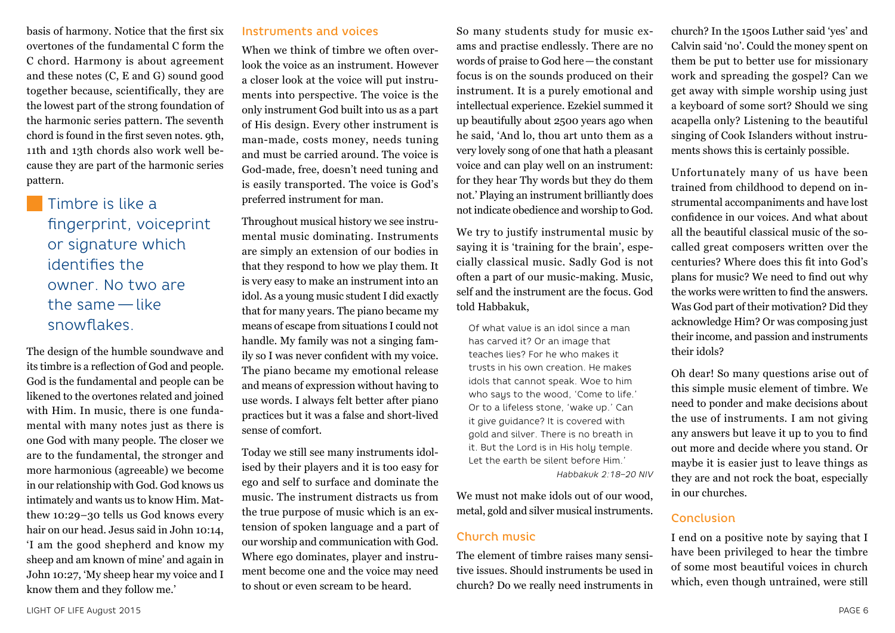basis of harmony. Notice that the first six overtones of the fundamental C form the C chord. Harmony is about agreement and these notes (C, E and G) sound good together because, scientifically, they are the lowest part of the strong foundation of the harmonic series pattern. The seventh chord is found in the first seven notes. 9th, 11th and 13th chords also work well because they are part of the harmonic series pattern.

**Timbre is like a** fingerprint, voiceprint or signature which identifies the owner. No two are the same — like snowflakes.

The design of the humble soundwave and its timbre is a reflection of God and people. God is the fundamental and people can be likened to the overtones related and joined with Him. In music, there is one fundamental with many notes just as there is one God with many people. The closer we are to the fundamental, the stronger and more harmonious (agreeable) we become in our relationship with God. God knows us intimately and wants us to know Him. Matthew 10:29–30 tells us God knows every hair on our head. Jesus said in John 10:14, 'I am the good shepherd and know my sheep and am known of mine' and again in John 10:27, 'My sheep hear my voice and I know them and they follow me.'

### Instruments and voices

When we think of timbre we often overlook the voice as an instrument. However a closer look at the voice will put instruments into perspective. The voice is the only instrument God built into us as a part of His design. Every other instrument is man-made, costs money, needs tuning and must be carried around. The voice is God-made, free, doesn't need tuning and is easily transported. The voice is God's preferred instrument for man.

Throughout musical history we see instrumental music dominating. Instruments are simply an extension of our bodies in that they respond to how we play them. It is very easy to make an instrument into an idol. As a young music student I did exactly that for many years. The piano became my means of escape from situations I could not handle. My family was not a singing family so I was never confident with my voice. The piano became my emotional release and means of expression without having to use words. I always felt better after piano practices but it was a false and short-lived sense of comfort.

Today we still see many instruments idolised by their players and it is too easy for ego and self to surface and dominate the music. The instrument distracts us from the true purpose of music which is an extension of spoken language and a part of our worship and communication with God. Where ego dominates, player and instrument become one and the voice may need to shout or even scream to be heard.

So many students study for music exams and practise endlessly. There are no words of praise to God here—the constant focus is on the sounds produced on their instrument. It is a purely emotional and intellectual experience. Ezekiel summed it up beautifully about 2500 years ago when he said, 'And lo, thou art unto them as a very lovely song of one that hath a pleasant voice and can play well on an instrument: for they hear Thy words but they do them not.' Playing an instrument brilliantly does not indicate obedience and worship to God.

We try to justify instrumental music by saying it is 'training for the brain', especially classical music. Sadly God is not often a part of our music-making. Music, self and the instrument are the focus. God told Habbakuk,

Of what value is an idol since a man has carved it? Or an image that teaches lies? For he who makes it trusts in his own creation. He makes idols that cannot speak. Woe to him who says to the wood, 'Come to life.' Or to a lifeless stone, 'wake up.' Can it give guidance? It is covered with gold and silver. There is no breath in it. But the Lord is in His holy temple. Let the earth be silent before Him.'

*Habbakuk 2:18–20 NIV*

We must not make idols out of our wood. metal, gold and silver musical instruments.

### Church music

The element of timbre raises many sensitive issues. Should instruments be used in church? Do we really need instruments in church? In the 1500s Luther said 'yes' and Calvin said 'no'. Could the money spent on them be put to better use for missionary work and spreading the gospel? Can we get away with simple worship using just a keyboard of some sort? Should we sing acapella only? Listening to the beautiful singing of Cook Islanders without instruments shows this is certainly possible.

Unfortunately many of us have been trained from childhood to depend on instrumental accompaniments and have lost confidence in our voices. And what about all the beautiful classical music of the socalled great composers written over the centuries? Where does this fit into God's plans for music? We need to find out why the works were written to find the answers. Was God part of their motivation? Did they acknowledge Him? Or was composing just their income, and passion and instruments their idols?

Oh dear! So many questions arise out of this simple music element of timbre. We need to ponder and make decisions about the use of instruments. I am not giving any answers but leave it up to you to find out more and decide where you stand. Or maybe it is easier just to leave things as they are and not rock the boat, especially in our churches.

### Conclusion

I end on a positive note by saying that I have been privileged to hear the timbre of some most beautiful voices in church which, even though untrained, were still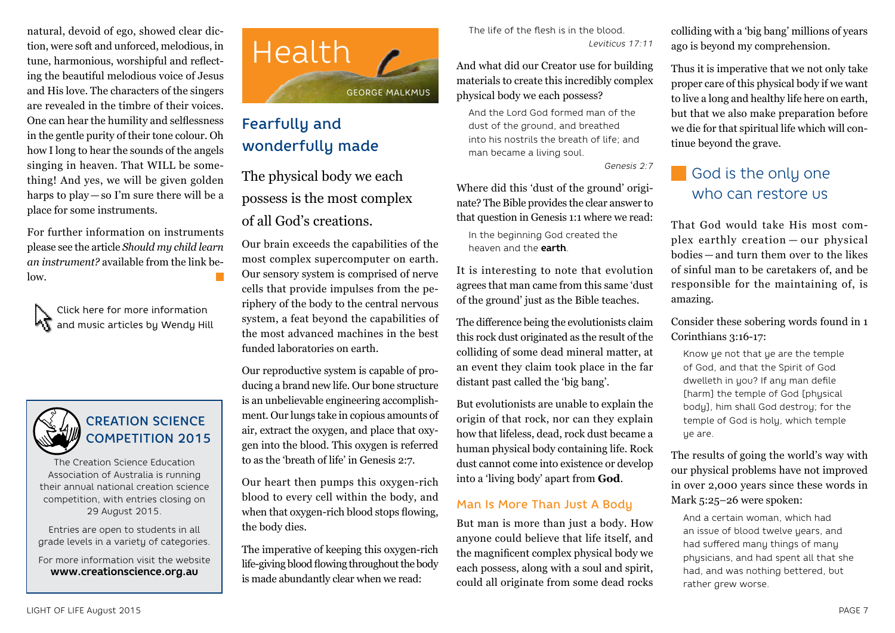natural, devoid of ego, showed clear diction, were soft and unforced, melodious, in tune, harmonious, worshipful and reflecting the beautiful melodious voice of Jesus and His love. The characters of the singers are revealed in the timbre of their voices. One can hear the humility and selflessness in the gentle purity of their tone colour. Oh how I long to hear the sounds of the angels singing in heaven. That WILL be something! And yes, we will be given golden harps to play—so I'm sure there will be a place for some instruments.

For further information on instruments please see the article *Should my child learn an instrument?* available from the link below.

Click here for more information and music articles by Wendy Hill



# CREATION SCIENCE COMPETITION 2015

The Creation Science Education Association of Australia is running their annual national creation science competition, with entries closing on 29 August 2015.

Entries are open to students in all grade levels in a variety of categories.

For more information visit the website **www.creationscience.org.au**



# Fearfully and wonderfully made

The physical body we each possess is the most complex of all God's creations.

Our brain exceeds the capabilities of the most complex supercomputer on earth. Our sensory system is comprised of nerve cells that provide impulses from the periphery of the body to the central nervous system, a feat beyond the capabilities of the most advanced machines in the best funded laboratories on earth.

Our reproductive system is capable of producing a brand new life. Our bone structure is an unbelievable engineering accomplishment. Our lungs take in copious amounts of air, extract the oxygen, and place that oxygen into the blood. This oxygen is referred to as the 'breath of life' in Genesis 2:7.

Our heart then pumps this oxygen-rich blood to every cell within the body, and when that oxygen-rich blood stops flowing. the body dies.

The imperative of keeping this oxygen-rich life-giving blood flowing throughout the body is made abundantly clear when we read:

The life of the flesh is in the blood. *Leviticus 17:11*

And what did our Creator use for building materials to create this incredibly complex physical body we each possess?

And the Lord God formed man of the dust of the ground, and breathed into his nostrils the breath of life; and man became a living soul.

*Genesis 2:7*

Where did this 'dust of the ground' originate? The Bible provides the clear answer to that question in Genesis 1:1 where we read:

In the beginning God created the heaven and the **earth**.

It is interesting to note that evolution agrees that man came from this same 'dust of the ground' just as the Bible teaches.

The difference being the evolutionists claim this rock dust originated as the result of the colliding of some dead mineral matter, at an event they claim took place in the far distant past called the 'big bang'.

But evolutionists are unable to explain the origin of that rock, nor can they explain how that lifeless, dead, rock dust became a human physical body containing life. Rock dust cannot come into existence or develop into a 'living body' apart from **God**.

## Man Is More Than Just A Body

But man is more than just a body. How anyone could believe that life itself, and the magnificent complex physical body we each possess, along with a soul and spirit, could all originate from some dead rocks colliding with a 'big bang' millions of years ago is beyond my comprehension.

Thus it is imperative that we not only take proper care of this physical body if we want to live a long and healthy life here on earth, but that we also make preparation before we die for that spiritual life which will continue beyond the grave.

# God is the only one who can restore us

That God would take His most complex earthly creation — our physical bodies — and turn them over to the likes of sinful man to be caretakers of, and be responsible for the maintaining of, is amazing.

Consider these sobering words found in 1 Corinthians 3:16-17:

Know ye not that ye are the temple of God, and that the Spirit of God dwelleth in you? If any man defile [harm] the temple of God [phusical] body], him shall God destroy; for the temple of God is holy, which temple ye are.

The results of going the world's way with our physical problems have not improved in over 2,000 years since these words in Mark 5:25–26 were spoken:

And a certain woman, which had an issue of blood twelve years, and had suffered many things of many physicians, and had spent all that she had, and was nothing bettered, but rather grew worse.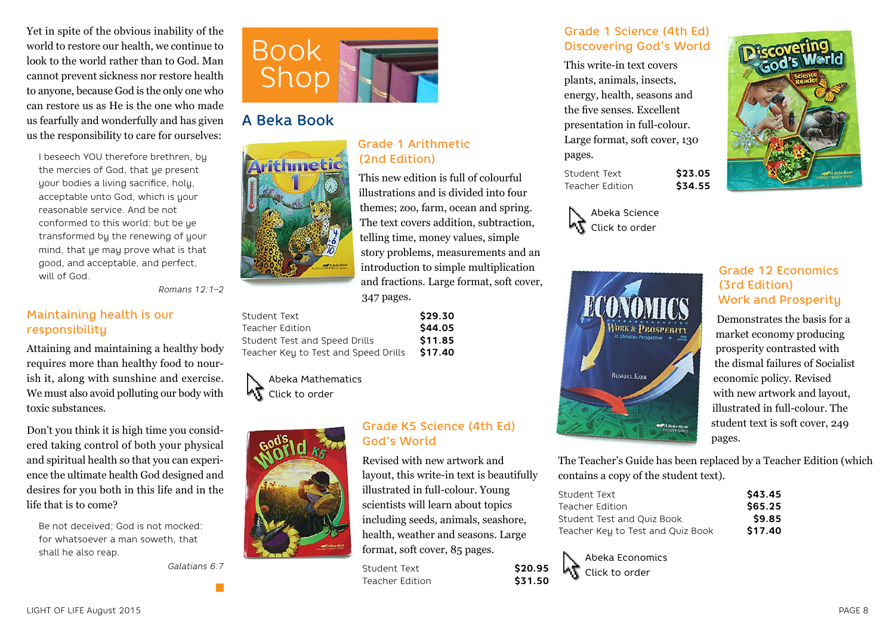Yet in spite of the obvious inability of the world to restore our health, we continue to look to the world rather than to God. Man cannot prevent sickness nor restore health to anyone, because God is the only one who can restore us as He is the one who made us fearfully and wonderfully and has given us the responsibility to care for ourselves:

I beseech YOU therefore brethren, by the mercies of God, that ye present your bodies a living sacrifice, holy, acceptable unto God, which is your reasonable service. And be not conformed to this world: but be ye transformed by the renewing of your mind, that ye may prove what is that good, and acceptable, and perfect, will of God.

*Romans 12:1–2*

### Maintaining health is our responsibility

Attaining and maintaining a healthy body requires more than healthy food to nourish it, along with sunshine and exercise. We must also avoid polluting our body with toxic substances.

Don't you think it is high time you considered taking control of both your physical and spiritual health so that you can experience the ultimate health God designed and desires for you both in this life and in the life that is to come?

Be not deceived; God is not mocked: for whatsoever a man soweth, that shall he also reap.

*Galatians 6:7*



## A Beka Book



### Student Text **\$29.30** Teacher Edition **\$44.05** Student Test and Speed Drills **\$11.85**

Teacher Key to Test and Speed Drills **\$17.40**

347 pages.

Abeka Mathematics いさ Click to order



### Grade K5 Science (4th Ed) God's World Revised with new artwork and

telling time, money values, simple story problems, measurements and an introduction to simple multiplication and fractions. Large format, soft cover,

layout, this write-in text is beautifully illustrated in full-colour. Young scientists will learn about topics including seeds, animals, seashore, health, weather and seasons. Large format, soft cover, 85 pages.

Student Text **\$20.95** Teacher Edition **\$31.50** 

### Grade 1 Science (4th Ed) Discovering God's World

This write-in text covers plants, animals, insects, energy, health, seasons and the five senses. Excellent presentation in full-colour. Large format, soft cover, 130 pages.

Student Text **\$23.05**<br>Teacher Edition **\$34.55 Teacher Edition** 

Abeka Science Click to order



## Grade 12 Economics (3rd Edition) Work and Prosperity

Demonstrates the basis for a market economy producing prosperity contrasted with the dismal failures of Socialist economic policy. Revised with new artwork and layout, illustrated in full-colour. The student text is soft cover, 249 pages.

The Teacher's Guide has been replaced by a Teacher Edition (which contains a copy of the student text).

| Student Text                      | \$43.45 |
|-----------------------------------|---------|
| Teacher Edition                   | \$65.25 |
| Student Test and Ouiz Book        | \$9.85  |
| Teacher Key to Test and Quiz Book | \$17.40 |

Abeka Economics Click to order

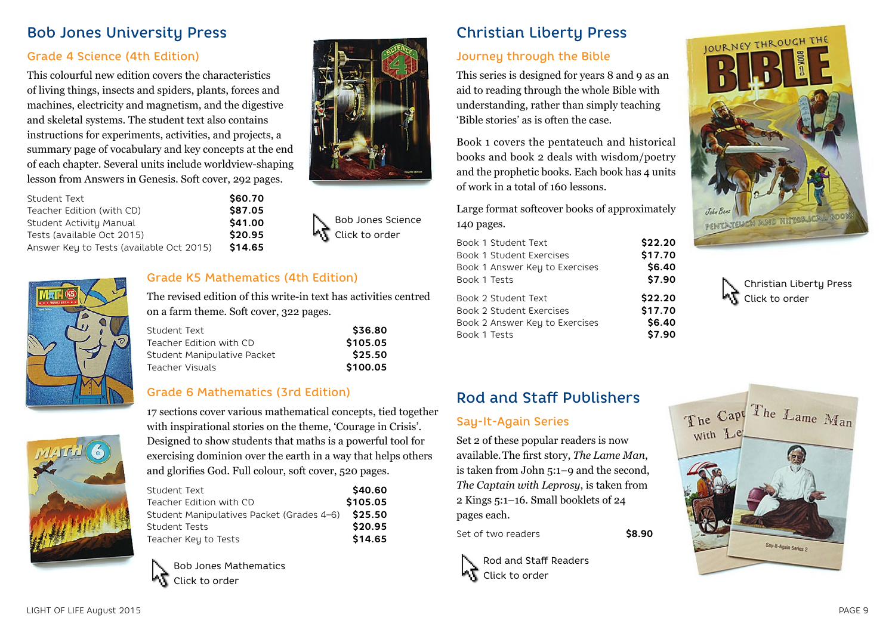## Bob Jones University Press

### Grade 4 Science (4th Edition)

This colourful new edition covers the characteristics of living things, insects and spiders, plants, forces and machines, electricity and magnetism, and the digestive and skeletal systems. The student text also contains instructions for experiments, activities, and projects, a summary page of vocabulary and key concepts at the end of each chapter. Several units include worldview-shaping lesson from Answers in Genesis. Soft cover, 292 pages.

| Student Text                             | \$60.70 |
|------------------------------------------|---------|
| Teacher Edition (with CD)                | \$87.05 |
| Student Activity Manual                  | \$41.00 |
| Tests (available Oct 2015)               | \$20.95 |
| Answer Key to Tests (available Oct 2015) | \$14.65 |



Bob Jones Science Click to order



### Grade K5 Mathematics (4th Edition)

The revised edition of this write-in text has activities centred on a farm theme. Soft cover, 322 pages.

| Student Text                | \$36.80  |
|-----------------------------|----------|
| Teacher Edition with CD     | \$105.05 |
| Student Manipulative Packet | \$25.50  |
| Teacher Visuals             | \$100.05 |

### Grade 6 Mathematics (3rd Edition)



17 sections cover various mathematical concepts, tied together with inspirational stories on the theme, 'Courage in Crisis'. Designed to show students that maths is a powerful tool for exercising dominion over the earth in a way that helps others and glorifies God. Full colour, soft cover, 520 pages.

| Student Text                                      | \$40.60  |
|---------------------------------------------------|----------|
| Teacher Edition with CD                           | \$105.05 |
| Student Manipulatives Packet (Grades 4-6) \$25.50 |          |
| Student Tests                                     | \$20.95  |
| Teacher Key to Tests                              | \$14.65  |
|                                                   |          |



Bob Jones Mathematics

# Christian Liberty Press

## Journey through the Bible

This series is designed for years 8 and 9 as an aid to reading through the whole Bible with understanding, rather than simply teaching 'Bible stories' as is often the case.

Book 1 covers the pentateuch and historical books and book 2 deals with wisdom/poetry and the prophetic books. Each book has 4 units of work in a total of 160 lessons.

Large format softcover books of approximately 140 pages.

| Book 1 Student Text             | \$22.20 |
|---------------------------------|---------|
| <b>Book 1 Student Exercises</b> | \$17.70 |
| Book 1 Answer Key to Exercises  | \$6.40  |
| Book 1 Tests                    | \$7.90  |
| Book 2 Student Text             | \$22.20 |
| <b>Book 2 Student Exercises</b> | \$17.70 |
| Book 2 Answer Key to Exercises  | \$6.40  |
| Book 1 Tests                    | \$7.90  |

## Rod and Staff Publishers

### Say-It-Again Series

Set 2 of these popular readers is now available.The first story, *The Lame Man*, is taken from John 5:1–9 and the second, *The Captain with Leprosy*, is taken from 2 Kings 5:1–16. Small booklets of 24 pages each.

Set of two readers **\$8.90** 

Rod and Staff Readers Click to order



Christian Liberty Press Click to order